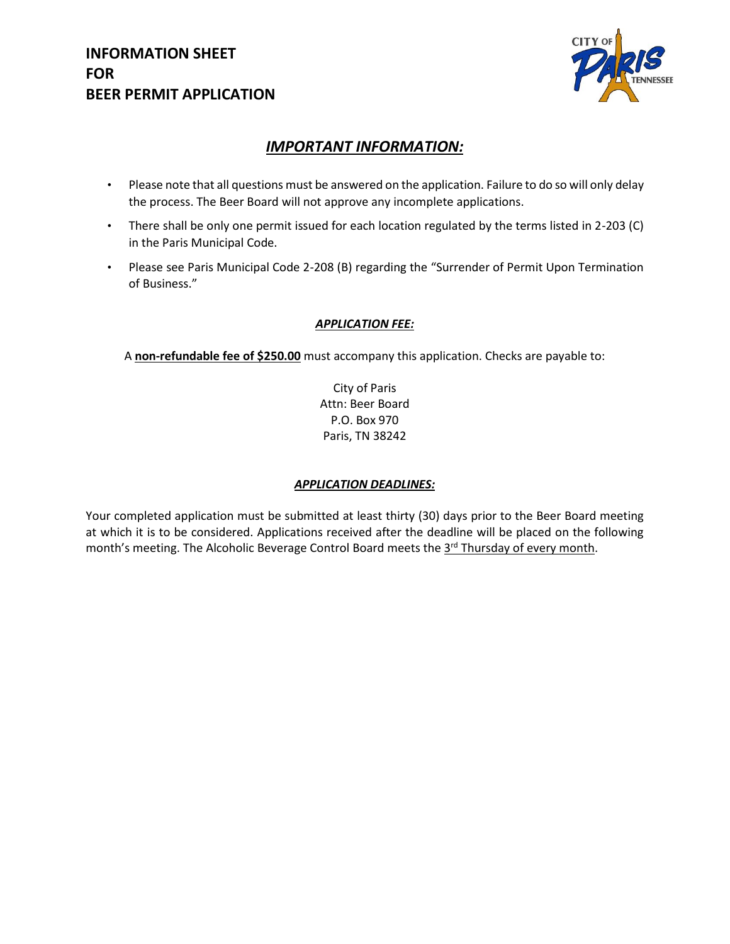

## *IMPORTANT INFORMATION:*

- Please note that all questions must be answered on the application. Failure to do so will only delay the process. The Beer Board will not approve any incomplete applications.
- There shall be only one permit issued for each location regulated by the terms listed in 2-203 (C) in the Paris Municipal Code.
- Please see Paris Municipal Code 2-208 (B) regarding the "Surrender of Permit Upon Termination of Business."

#### *APPLICATION FEE:*

A **non-refundable fee of \$250.00** must accompany this application. Checks are payable to:

City of Paris Attn: Beer Board P.O. Box 970 Paris, TN 38242

#### *APPLICATION DEADLINES:*

Your completed application must be submitted at least thirty (30) days prior to the Beer Board meeting at which it is to be considered. Applications received after the deadline will be placed on the following month's meeting. The Alcoholic Beverage Control Board meets the 3<sup>rd</sup> Thursday of every month.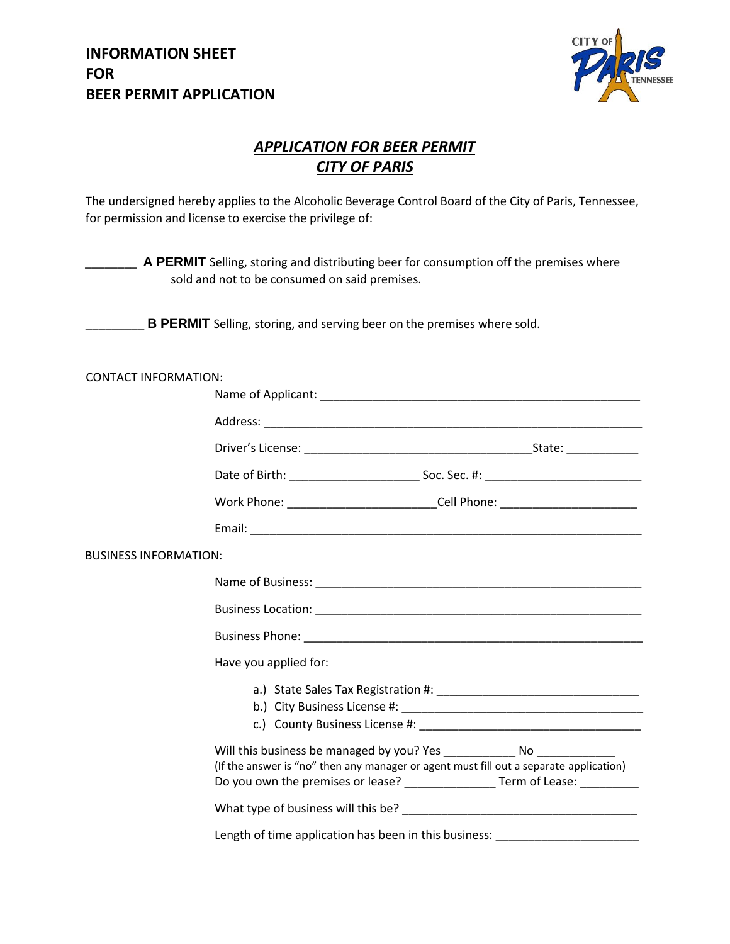

# *APPLICATION FOR BEER PERMIT CITY OF PARIS*

The undersigned hereby applies to the Alcoholic Beverage Control Board of the City of Paris, Tennessee, for permission and license to exercise the privilege of:

| A PERMIT Selling, storing and distributing beer for consumption off the premises where<br>sold and not to be consumed on said premises. |                                                                                                                                                                            |  |  |  |
|-----------------------------------------------------------------------------------------------------------------------------------------|----------------------------------------------------------------------------------------------------------------------------------------------------------------------------|--|--|--|
| <b>B PERMIT</b> Selling, storing, and serving beer on the premises where sold.                                                          |                                                                                                                                                                            |  |  |  |
| <b>CONTACT INFORMATION:</b>                                                                                                             |                                                                                                                                                                            |  |  |  |
|                                                                                                                                         |                                                                                                                                                                            |  |  |  |
|                                                                                                                                         |                                                                                                                                                                            |  |  |  |
|                                                                                                                                         |                                                                                                                                                                            |  |  |  |
|                                                                                                                                         |                                                                                                                                                                            |  |  |  |
|                                                                                                                                         | Work Phone: ____________________________Cell Phone: ____________________________                                                                                           |  |  |  |
|                                                                                                                                         |                                                                                                                                                                            |  |  |  |
| <b>BUSINESS INFORMATION:</b>                                                                                                            |                                                                                                                                                                            |  |  |  |
|                                                                                                                                         |                                                                                                                                                                            |  |  |  |
|                                                                                                                                         |                                                                                                                                                                            |  |  |  |
|                                                                                                                                         |                                                                                                                                                                            |  |  |  |
|                                                                                                                                         | Have you applied for:                                                                                                                                                      |  |  |  |
|                                                                                                                                         |                                                                                                                                                                            |  |  |  |
|                                                                                                                                         | (If the answer is "no" then any manager or agent must fill out a separate application)<br>Do you own the premises or lease? __________________ Term of Lease: ____________ |  |  |  |
|                                                                                                                                         |                                                                                                                                                                            |  |  |  |
|                                                                                                                                         | Length of time application has been in this business: __________________________                                                                                           |  |  |  |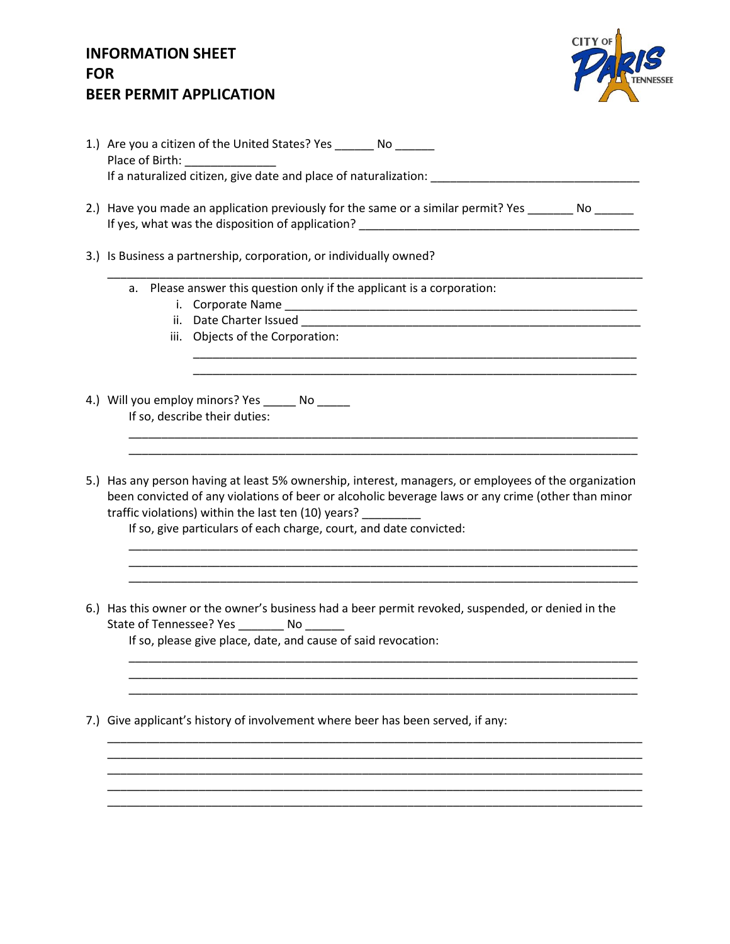

|     | 1.) Are you a citizen of the United States? Yes ________ No _______<br>Place of Birth: ________________                                                                                                                                                                                                                                  |  |  |  |
|-----|------------------------------------------------------------------------------------------------------------------------------------------------------------------------------------------------------------------------------------------------------------------------------------------------------------------------------------------|--|--|--|
|     |                                                                                                                                                                                                                                                                                                                                          |  |  |  |
|     | 2.) Have you made an application previously for the same or a similar permit? Yes ________ No ______                                                                                                                                                                                                                                     |  |  |  |
|     | 3.) Is Business a partnership, corporation, or individually owned?                                                                                                                                                                                                                                                                       |  |  |  |
|     | a. Please answer this question only if the applicant is a corporation:<br>iii. Objects of the Corporation:                                                                                                                                                                                                                               |  |  |  |
|     |                                                                                                                                                                                                                                                                                                                                          |  |  |  |
|     |                                                                                                                                                                                                                                                                                                                                          |  |  |  |
|     | 4.) Will you employ minors? Yes _______ No ______<br>If so, describe their duties:                                                                                                                                                                                                                                                       |  |  |  |
|     |                                                                                                                                                                                                                                                                                                                                          |  |  |  |
|     | 5.) Has any person having at least 5% ownership, interest, managers, or employees of the organization<br>been convicted of any violations of beer or alcoholic beverage laws or any crime (other than minor<br>traffic violations) within the last ten (10) years?<br>If so, give particulars of each charge, court, and date convicted: |  |  |  |
|     | 6.) Has this owner or the owner's business had a beer permit revoked, suspended, or denied in the<br>State of Tennessee? Yes No<br>If so, please give place, date, and cause of said revocation:                                                                                                                                         |  |  |  |
|     |                                                                                                                                                                                                                                                                                                                                          |  |  |  |
| 7.) | Give applicant's history of involvement where beer has been served, if any:                                                                                                                                                                                                                                                              |  |  |  |
|     |                                                                                                                                                                                                                                                                                                                                          |  |  |  |
|     |                                                                                                                                                                                                                                                                                                                                          |  |  |  |
|     |                                                                                                                                                                                                                                                                                                                                          |  |  |  |
|     |                                                                                                                                                                                                                                                                                                                                          |  |  |  |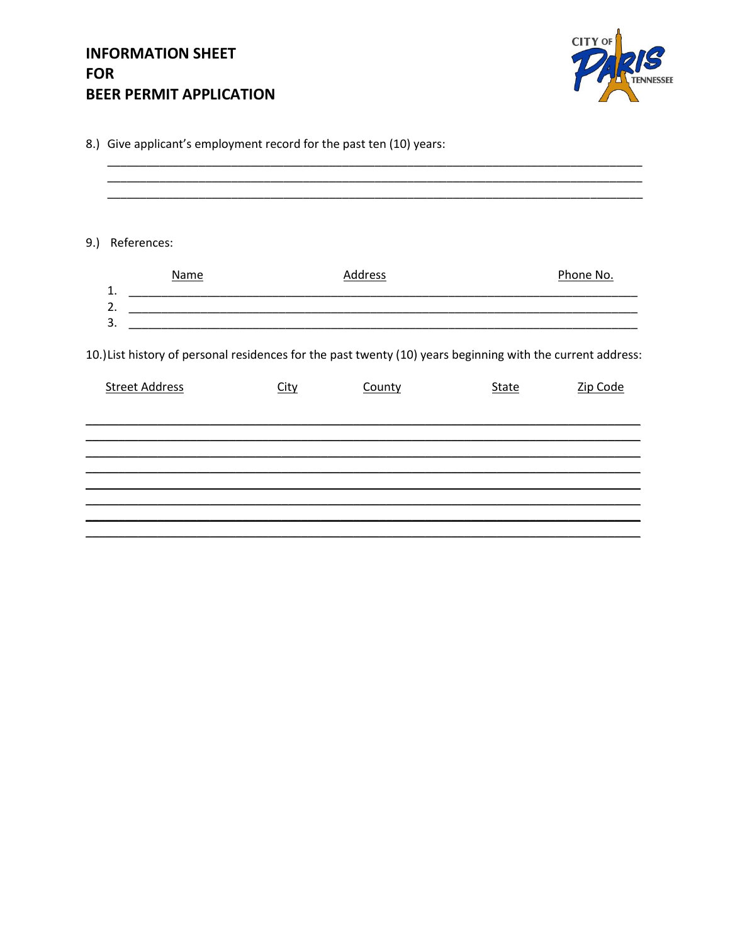

| 8.) Give applicant's employment record for the past ten (10) years: |
|---------------------------------------------------------------------|
|---------------------------------------------------------------------|

9.) References: **Name Address** Phone No.  $\overline{\mathbf{3}}$ . 10.) List history of personal residences for the past twenty (10) years beginning with the current address: **Street Address** <u>City</u> **County** <u>State</u> Zip Code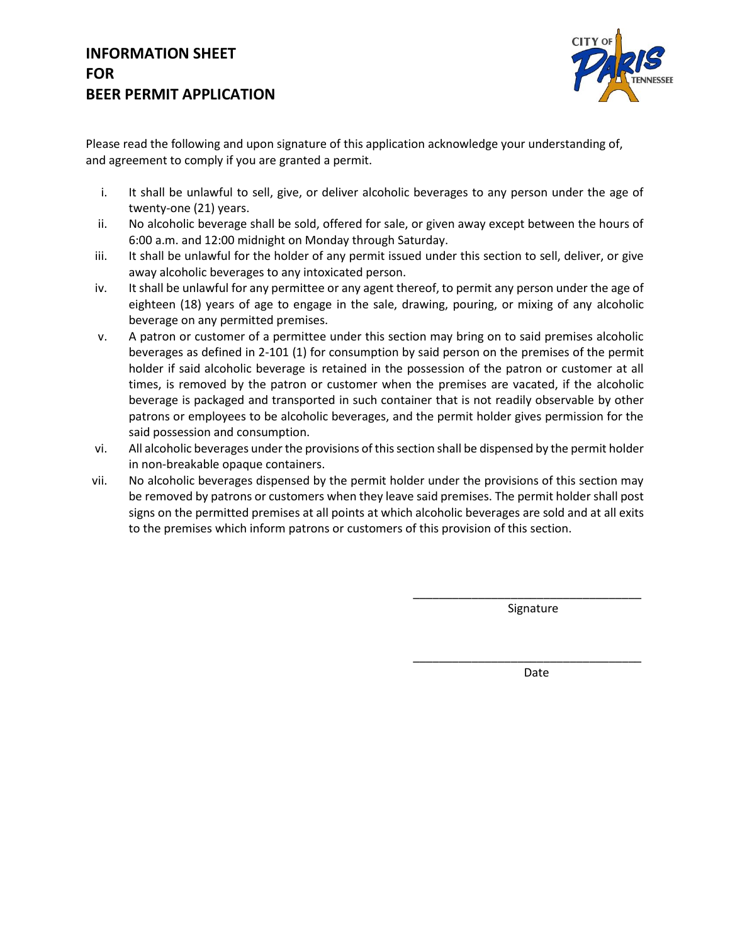

Please read the following and upon signature of this application acknowledge your understanding of, and agreement to comply if you are granted a permit.

- i. It shall be unlawful to sell, give, or deliver alcoholic beverages to any person under the age of twenty-one (21) years.
- ii. No alcoholic beverage shall be sold, offered for sale, or given away except between the hours of 6:00 a.m. and 12:00 midnight on Monday through Saturday.
- iii. It shall be unlawful for the holder of any permit issued under this section to sell, deliver, or give away alcoholic beverages to any intoxicated person.
- iv. It shall be unlawful for any permittee or any agent thereof, to permit any person under the age of eighteen (18) years of age to engage in the sale, drawing, pouring, or mixing of any alcoholic beverage on any permitted premises.
- v. A patron or customer of a permittee under this section may bring on to said premises alcoholic beverages as defined in 2-101 (1) for consumption by said person on the premises of the permit holder if said alcoholic beverage is retained in the possession of the patron or customer at all times, is removed by the patron or customer when the premises are vacated, if the alcoholic beverage is packaged and transported in such container that is not readily observable by other patrons or employees to be alcoholic beverages, and the permit holder gives permission for the said possession and consumption.
- vi. All alcoholic beverages under the provisions of this section shall be dispensed by the permit holder in non-breakable opaque containers.
- vii. No alcoholic beverages dispensed by the permit holder under the provisions of this section may be removed by patrons or customers when they leave said premises. The permit holder shall post signs on the permitted premises at all points at which alcoholic beverages are sold and at all exits to the premises which inform patrons or customers of this provision of this section.

Signature

\_\_\_\_\_\_\_\_\_\_\_\_\_\_\_\_\_\_\_\_\_\_\_\_\_\_\_\_\_\_\_\_\_\_\_

\_\_\_\_\_\_\_\_\_\_\_\_\_\_\_\_\_\_\_\_\_\_\_\_\_\_\_\_\_\_\_\_\_\_\_

Date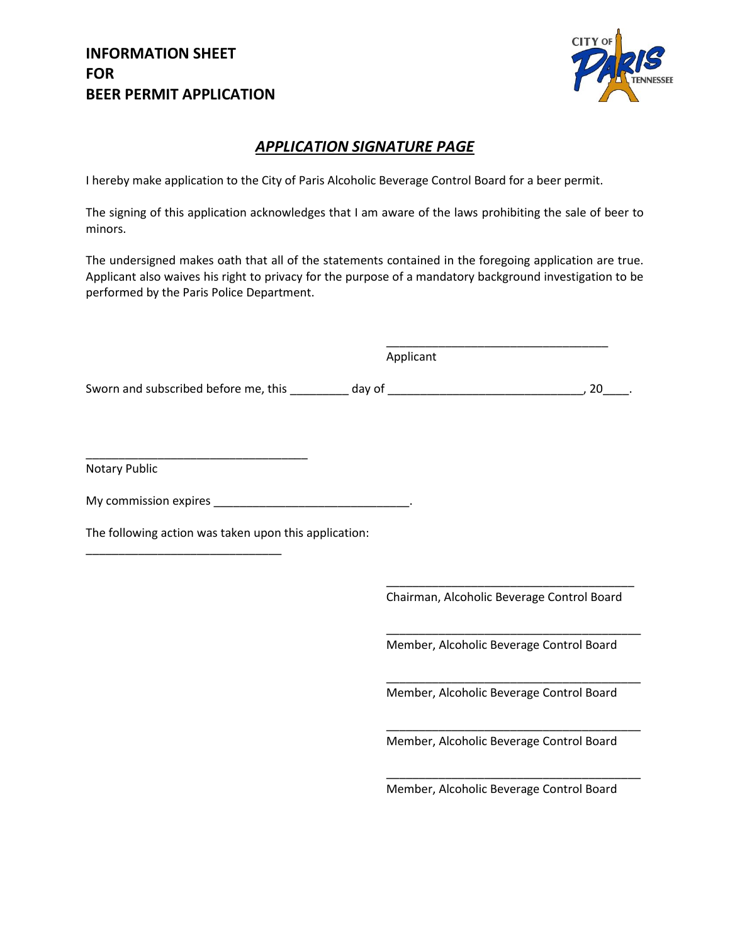

### *APPLICATION SIGNATURE PAGE*

I hereby make application to the City of Paris Alcoholic Beverage Control Board for a beer permit.

The signing of this application acknowledges that I am aware of the laws prohibiting the sale of beer to minors.

The undersigned makes oath that all of the statements contained in the foregoing application are true. Applicant also waives his right to privacy for the purpose of a mandatory background investigation to be performed by the Paris Police Department.

Applicant

Sworn and subscribed before me, this \_\_\_\_\_\_\_\_\_\_ day of \_\_\_\_\_\_\_\_\_\_\_\_\_\_\_\_\_\_\_\_\_\_\_\_\_\_\_\_\_\_\_\_\_\_, 20\_\_\_\_\_.

Notary Public

My commission expires \_\_\_\_\_\_\_\_\_\_\_\_\_\_\_\_\_\_\_\_\_\_\_\_\_\_\_\_\_\_\_\_\_\_.

The following action was taken upon this application:

\_\_\_\_\_\_\_\_\_\_\_\_\_\_\_\_\_\_\_\_\_\_\_\_\_\_\_\_\_\_\_\_\_\_

\_\_\_\_\_\_\_\_\_\_\_\_\_\_\_\_\_\_\_\_\_\_\_\_\_\_\_\_\_\_

\_\_\_\_\_\_\_\_\_\_\_\_\_\_\_\_\_\_\_\_\_\_\_\_\_\_\_\_\_\_\_\_\_\_\_\_\_\_ Chairman, Alcoholic Beverage Control Board

\_\_\_\_\_\_\_\_\_\_\_\_\_\_\_\_\_\_\_\_\_\_\_\_\_\_\_\_\_\_\_\_\_\_

Member, Alcoholic Beverage Control Board

\_\_\_\_\_\_\_\_\_\_\_\_\_\_\_\_\_\_\_\_\_\_\_\_\_\_\_\_\_\_\_\_\_\_\_\_\_\_\_

\_\_\_\_\_\_\_\_\_\_\_\_\_\_\_\_\_\_\_\_\_\_\_\_\_\_\_\_\_\_\_\_\_\_\_\_\_\_\_

\_\_\_\_\_\_\_\_\_\_\_\_\_\_\_\_\_\_\_\_\_\_\_\_\_\_\_\_\_\_\_\_\_\_\_\_\_\_\_

\_\_\_\_\_\_\_\_\_\_\_\_\_\_\_\_\_\_\_\_\_\_\_\_\_\_\_\_\_\_\_\_\_\_\_\_\_\_\_

Member, Alcoholic Beverage Control Board

Member, Alcoholic Beverage Control Board

Member, Alcoholic Beverage Control Board